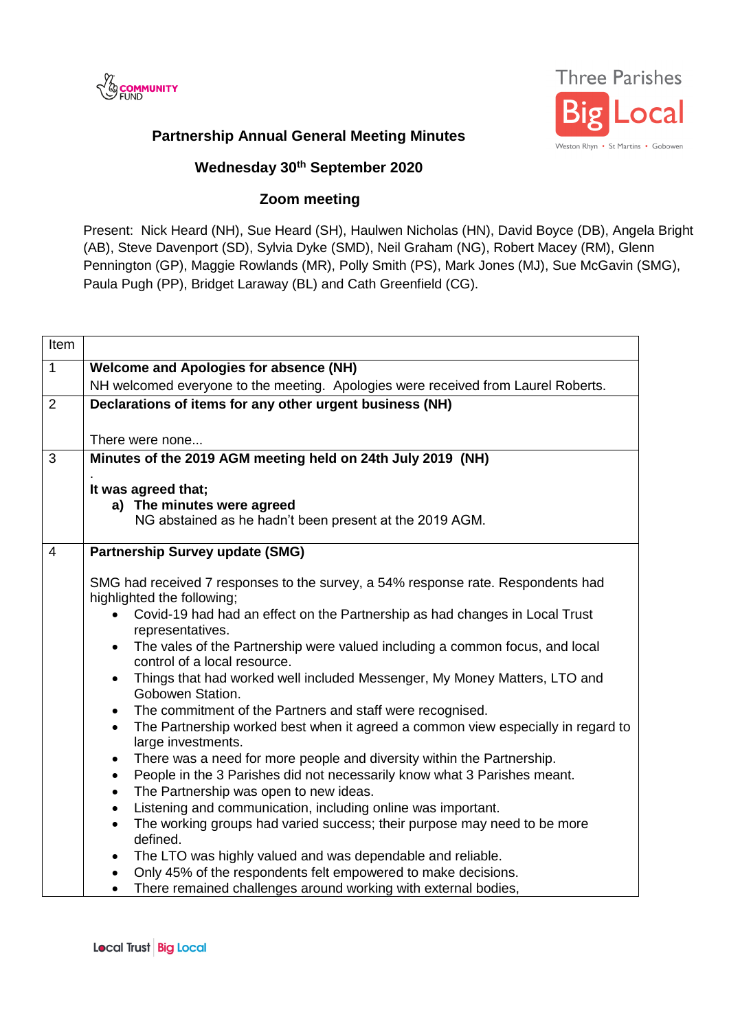



## **Partnership Annual General Meeting Minutes**

## **Wednesday 30th September 2020**

## **Zoom meeting**

Present: Nick Heard (NH), Sue Heard (SH), Haulwen Nicholas (HN), David Boyce (DB), Angela Bright (AB), Steve Davenport (SD), Sylvia Dyke (SMD), Neil Graham (NG), Robert Macey (RM), Glenn Pennington (GP), Maggie Rowlands (MR), Polly Smith (PS), Mark Jones (MJ), Sue McGavin (SMG), Paula Pugh (PP), Bridget Laraway (BL) and Cath Greenfield (CG).

| Item           |                                                                                                                                                                                                                                                                                                                                                                                                                                                                                                                                                                                                                                                                                                                                                                                                                                                                                                                                                                                                                                                                                                                                                                                                                                                                                                        |
|----------------|--------------------------------------------------------------------------------------------------------------------------------------------------------------------------------------------------------------------------------------------------------------------------------------------------------------------------------------------------------------------------------------------------------------------------------------------------------------------------------------------------------------------------------------------------------------------------------------------------------------------------------------------------------------------------------------------------------------------------------------------------------------------------------------------------------------------------------------------------------------------------------------------------------------------------------------------------------------------------------------------------------------------------------------------------------------------------------------------------------------------------------------------------------------------------------------------------------------------------------------------------------------------------------------------------------|
| $\mathbf{1}$   | <b>Welcome and Apologies for absence (NH)</b>                                                                                                                                                                                                                                                                                                                                                                                                                                                                                                                                                                                                                                                                                                                                                                                                                                                                                                                                                                                                                                                                                                                                                                                                                                                          |
|                | NH welcomed everyone to the meeting. Apologies were received from Laurel Roberts.                                                                                                                                                                                                                                                                                                                                                                                                                                                                                                                                                                                                                                                                                                                                                                                                                                                                                                                                                                                                                                                                                                                                                                                                                      |
| 2              | Declarations of items for any other urgent business (NH)                                                                                                                                                                                                                                                                                                                                                                                                                                                                                                                                                                                                                                                                                                                                                                                                                                                                                                                                                                                                                                                                                                                                                                                                                                               |
|                |                                                                                                                                                                                                                                                                                                                                                                                                                                                                                                                                                                                                                                                                                                                                                                                                                                                                                                                                                                                                                                                                                                                                                                                                                                                                                                        |
|                | There were none                                                                                                                                                                                                                                                                                                                                                                                                                                                                                                                                                                                                                                                                                                                                                                                                                                                                                                                                                                                                                                                                                                                                                                                                                                                                                        |
| 3              | Minutes of the 2019 AGM meeting held on 24th July 2019 (NH)                                                                                                                                                                                                                                                                                                                                                                                                                                                                                                                                                                                                                                                                                                                                                                                                                                                                                                                                                                                                                                                                                                                                                                                                                                            |
|                | It was agreed that;                                                                                                                                                                                                                                                                                                                                                                                                                                                                                                                                                                                                                                                                                                                                                                                                                                                                                                                                                                                                                                                                                                                                                                                                                                                                                    |
|                | a) The minutes were agreed                                                                                                                                                                                                                                                                                                                                                                                                                                                                                                                                                                                                                                                                                                                                                                                                                                                                                                                                                                                                                                                                                                                                                                                                                                                                             |
|                | NG abstained as he hadn't been present at the 2019 AGM.                                                                                                                                                                                                                                                                                                                                                                                                                                                                                                                                                                                                                                                                                                                                                                                                                                                                                                                                                                                                                                                                                                                                                                                                                                                |
| $\overline{4}$ | <b>Partnership Survey update (SMG)</b>                                                                                                                                                                                                                                                                                                                                                                                                                                                                                                                                                                                                                                                                                                                                                                                                                                                                                                                                                                                                                                                                                                                                                                                                                                                                 |
|                | SMG had received 7 responses to the survey, a 54% response rate. Respondents had<br>highlighted the following;<br>Covid-19 had had an effect on the Partnership as had changes in Local Trust<br>representatives.<br>• The vales of the Partnership were valued including a common focus, and local<br>control of a local resource.<br>Things that had worked well included Messenger, My Money Matters, LTO and<br>$\bullet$<br>Gobowen Station.<br>The commitment of the Partners and staff were recognised.<br>$\bullet$<br>The Partnership worked best when it agreed a common view especially in regard to<br>$\bullet$<br>large investments.<br>There was a need for more people and diversity within the Partnership.<br>$\bullet$<br>People in the 3 Parishes did not necessarily know what 3 Parishes meant.<br>$\bullet$<br>The Partnership was open to new ideas.<br>$\bullet$<br>Listening and communication, including online was important.<br>$\bullet$<br>The working groups had varied success; their purpose may need to be more<br>defined.<br>The LTO was highly valued and was dependable and reliable.<br>$\bullet$<br>Only 45% of the respondents felt empowered to make decisions.<br>$\bullet$<br>There remained challenges around working with external bodies,<br>$\bullet$ |